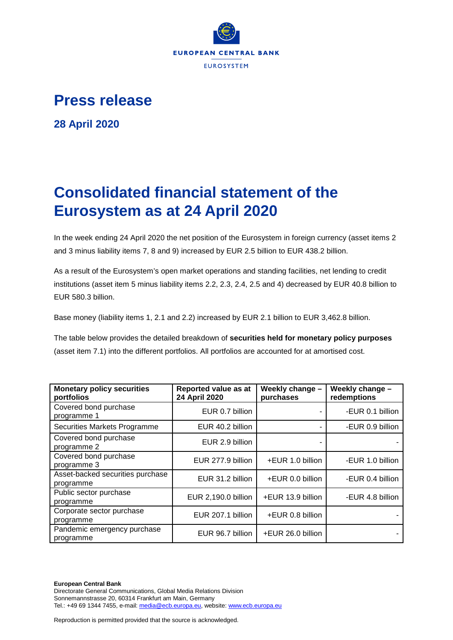

## **Press release**

**28 April 2020**

## **Consolidated financial statement of the Eurosystem as at 24 April 2020**

In the week ending 24 April 2020 the net position of the Eurosystem in foreign currency (asset items 2 and 3 minus liability items 7, 8 and 9) increased by EUR 2.5 billion to EUR 438.2 billion.

As a result of the Eurosystem's open market operations and standing facilities, net lending to credit institutions (asset item 5 minus liability items 2.2, 2.3, 2.4, 2.5 and 4) decreased by EUR 40.8 billion to EUR 580.3 billion.

Base money (liability items 1, 2.1 and 2.2) increased by EUR 2.1 billion to EUR 3,462.8 billion.

The table below provides the detailed breakdown of **securities held for monetary policy purposes** (asset item 7.1) into the different portfolios. All portfolios are accounted for at amortised cost.

| <b>Monetary policy securities</b><br>portfolios | Reported value as at<br>24 April 2020 | Weekly change -<br>purchases | Weekly change -<br>redemptions |  |
|-------------------------------------------------|---------------------------------------|------------------------------|--------------------------------|--|
| Covered bond purchase<br>programme 1            | EUR 0.7 billion                       |                              | -EUR 0.1 billion               |  |
| Securities Markets Programme                    | EUR 40.2 billion                      |                              | -EUR 0.9 billion               |  |
| Covered bond purchase<br>programme 2            | EUR 2.9 billion                       |                              |                                |  |
| Covered bond purchase<br>programme 3            | EUR 277.9 billion                     | +EUR 1.0 billion             | -EUR 1.0 billion               |  |
| Asset-backed securities purchase<br>programme   | EUR 31.2 billion                      | +EUR 0.0 billion             | -EUR 0.4 billion               |  |
| Public sector purchase<br>programme             | EUR 2,190.0 billion                   | +EUR 13.9 billion            | -EUR 4.8 billion               |  |
| Corporate sector purchase<br>programme          | EUR 207.1 billion                     | +EUR 0.8 billion             |                                |  |
| Pandemic emergency purchase<br>programme        | EUR 96.7 billion                      | +EUR 26.0 billion            |                                |  |

**European Central Bank** Directorate General Communications, Global Media Relations Division Sonnemannstrasse 20, 60314 Frankfurt am Main, Germany Tel.: +49 69 1344 7455, e-mail[: media@ecb.europa.eu,](mailto:media@ecb.europa.eu) website[: www.ecb.europa.eu](http://www.ecb.europa.eu/)

Reproduction is permitted provided that the source is acknowledged.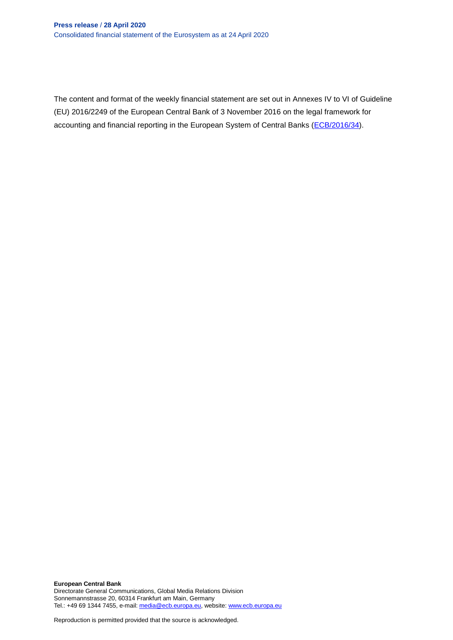The content and format of the weekly financial statement are set out in Annexes IV to VI of Guideline (EU) 2016/2249 of the European Central Bank of 3 November 2016 on the legal framework for accounting and financial reporting in the European System of Central Banks [\(ECB/2016/34\)](http://www.ecb.europa.eu/ecb/legal/1001/1012/html/index.en.html).